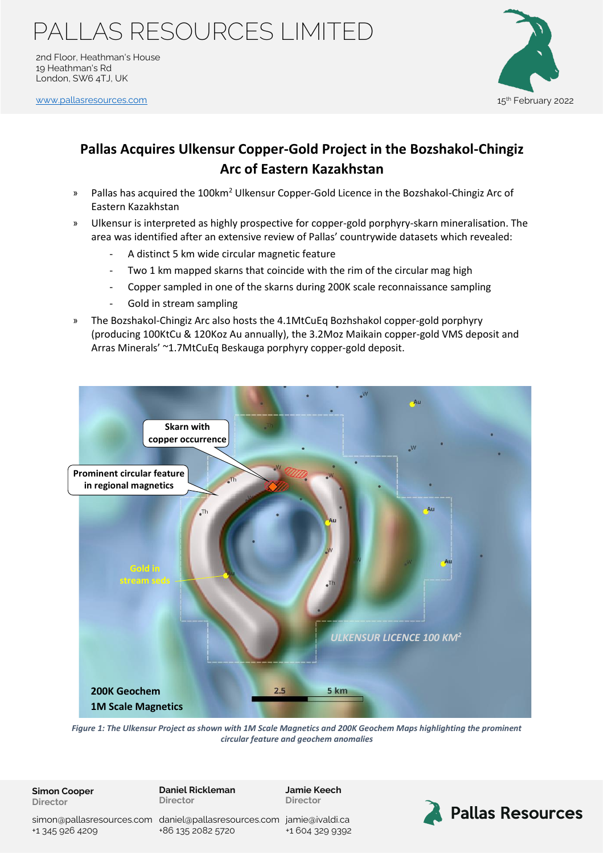2nd Floor, Heathman's House 19 Heathman's Rd London, SW6 4TJ, UK

[www.pallasresources.com](https://www.pallasresources.com/) 15



### **Pallas Acquires Ulkensur Copper-Gold Project in the Bozshakol-Chingiz Arc of Eastern Kazakhstan**

- » Pallas has acquired the 100km<sup>2</sup> Ulkensur Copper-Gold Licence in the Bozshakol-Chingiz Arc of Eastern Kazakhstan
- » Ulkensur is interpreted as highly prospective for copper-gold porphyry-skarn mineralisation. The area was identified after an extensive review of Pallas' countrywide datasets which revealed:
	- A distinct 5 km wide circular magnetic feature
	- Two 1 km mapped skarns that coincide with the rim of the circular mag high
	- Copper sampled in one of the skarns during 200K scale reconnaissance sampling
	- Gold in stream sampling
- » The Bozshakol-Chingiz Arc also hosts the 4.1MtCuEq Bozhshakol copper-gold porphyry (producing 100KtCu & 120Koz Au annually), the 3.2Moz Maikain copper-gold VMS deposit and Arras Minerals' ~1.7MtCuEq Beskauga porphyry copper-gold deposit.



*Figure 1: The Ulkensur Project as shown with 1M Scale Magnetics and 200K Geochem Maps highlighting the prominent circular feature and geochem anomalies*

**Simon Cooper Director**

**Daniel Rickleman Director**

**Jamie Keech Director**



simon@pallasresources.com [daniel@pallasresources.com](mailto:daniel@pallasresources.com) [jamie@iv](mailto:jamie@pallasresources.com)aldi.ca +1 345 926 4209

+86 135 2082 5720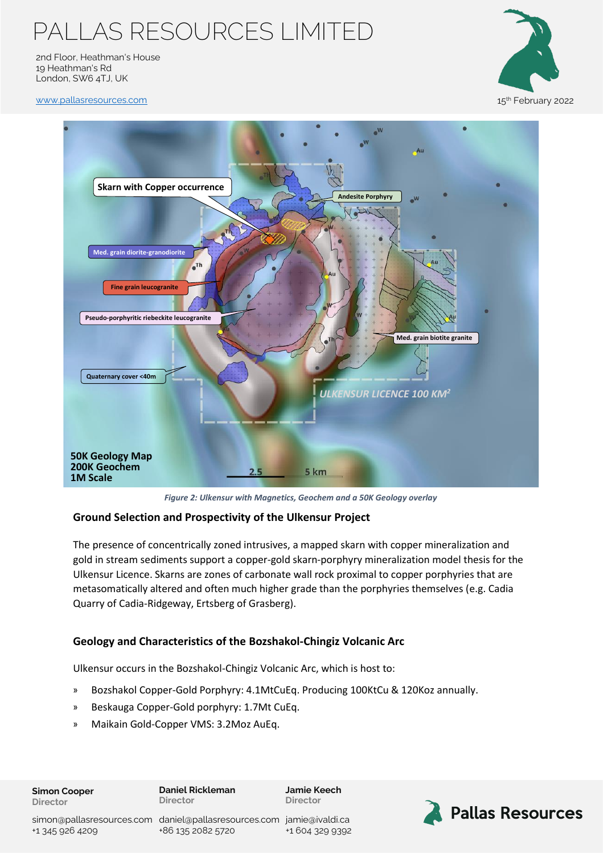2nd Floor, Heathman's House 19 Heathman's Rd London, SW6 4TJ, UK



[www.pallasresources.com](https://www.pallasresources.com/) 15



*Figure 2: Ulkensur with Magnetics, Geochem and a 50K Geology overlay*

### **Ground Selection and Prospectivity of the Ulkensur Project**

The presence of concentrically zoned intrusives, a mapped skarn with copper mineralization and gold in stream sediments support a copper-gold skarn-porphyry mineralization model thesis for the Ulkensur Licence. Skarns are zones of carbonate wall rock proximal to copper porphyries that are metasomatically altered and often much higher grade than the porphyries themselves (e.g. Cadia Quarry of Cadia-Ridgeway, Ertsberg of Grasberg).

### **Geology and Characteristics of the Bozshakol-Chingiz Volcanic Arc**

Ulkensur occurs in the Bozshakol-Chingiz Volcanic Arc, which is host to:

- » Bozshakol Copper-Gold Porphyry: 4.1MtCuEq. Producing 100KtCu & 120Koz annually.
- » Beskauga Copper-Gold porphyry: 1.7Mt CuEq.
- » Maikain Gold-Copper VMS: 3.2Moz AuEq.

#### **Simon Cooper Director**

**Daniel Rickleman Director**

**Jamie Keech Director**

+1 345 926 4209

simon@pallasresources.com [daniel@pallasresources.com](mailto:daniel@pallasresources.com) [jamie@iv](mailto:jamie@pallasresources.com)aldi.ca +86 135 2082 5720

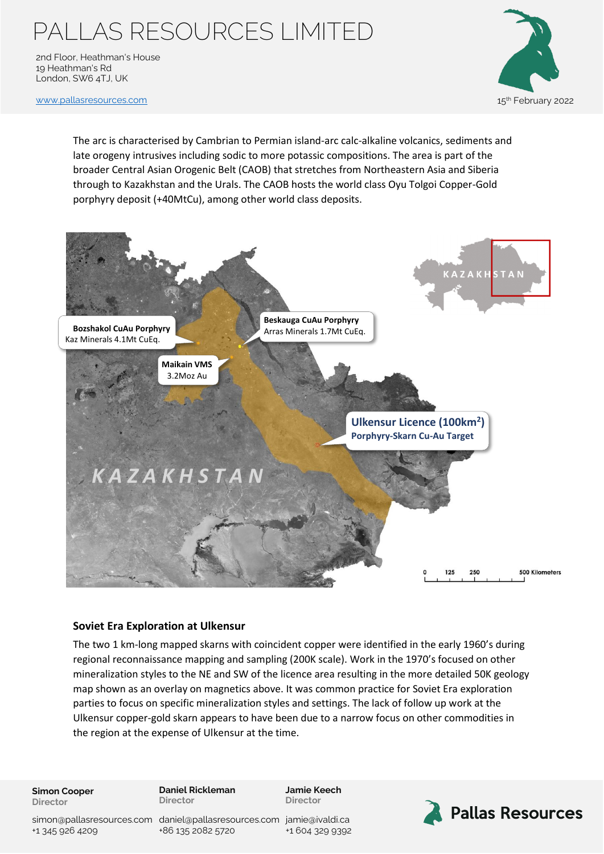2nd Floor, Heathman's House 19 Heathman's Rd London, SW6 4TJ, UK



[www.pallasresources.com](https://www.pallasresources.com/) 15

The arc is characterised by Cambrian to Permian island-arc calc-alkaline volcanics, sediments and late orogeny intrusives including sodic to more potassic compositions. The area is part of the broader Central Asian Orogenic Belt (CAOB) that stretches from Northeastern Asia and Siberia through to Kazakhstan and the Urals. The CAOB hosts the world class Oyu Tolgoi Copper-Gold porphyry deposit (+40MtCu), among other world class deposits.



#### **Soviet Era Exploration at Ulkensur**

The two 1 km-long mapped skarns with coincident copper were identified in the early 1960's during regional reconnaissance mapping and sampling (200K scale). Work in the 1970's focused on other mineralization styles to the NE and SW of the licence area resulting in the more detailed 50K geology map shown as an overlay on magnetics above. It was common practice for Soviet Era exploration parties to focus on specific mineralization styles and settings. The lack of follow up work at the Ulkensur copper-gold skarn appears to have been due to a narrow focus on other commodities in the region at the expense of Ulkensur at the time.

**Simon Cooper Director**

**Daniel Rickleman Director**

**Jamie Keech Director**



simon@pallasresources.com [daniel@pallasresources.com](mailto:daniel@pallasresources.com) [jamie@iv](mailto:jamie@pallasresources.com)aldi.ca +1 345 926 4209

+86 135 2082 5720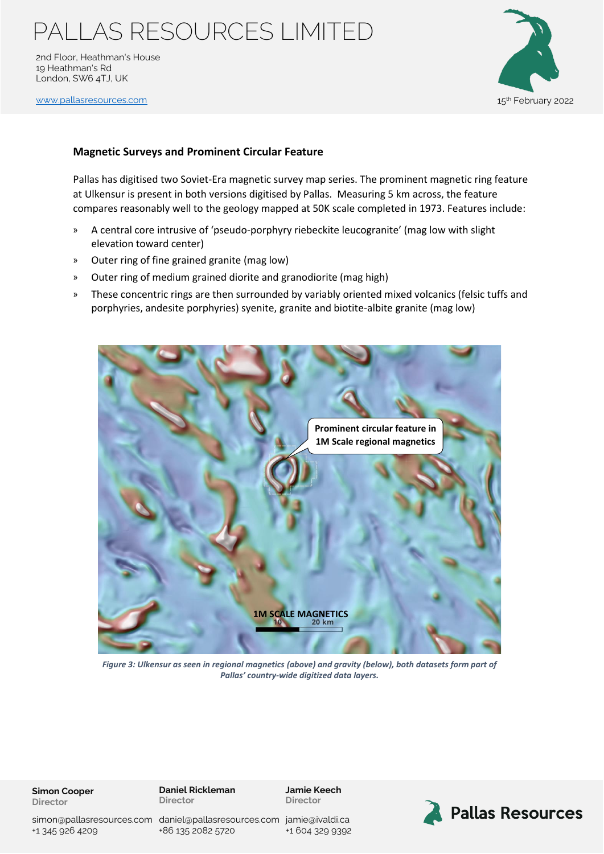2nd Floor, Heathman's House 19 Heathman's Rd London, SW6 4TJ, UK

[www.pallasresources.com](https://www.pallasresources.com/) 15



### **Magnetic Surveys and Prominent Circular Feature**

Pallas has digitised two Soviet-Era magnetic survey map series. The prominent magnetic ring feature at Ulkensur is present in both versions digitised by Pallas. Measuring 5 km across, the feature compares reasonably well to the geology mapped at 50K scale completed in 1973. Features include:

- » A central core intrusive of 'pseudo-porphyry riebeckite leucogranite' (mag low with slight elevation toward center)
- » Outer ring of fine grained granite (mag low)
- » Outer ring of medium grained diorite and granodiorite (mag high)
- » These concentric rings are then surrounded by variably oriented mixed volcanics (felsic tuffs and porphyries, andesite porphyries) syenite, granite and biotite-albite granite (mag low)



*Figure 3: Ulkensur as seen in regional magnetics (above) and gravity (below), both datasets form part of Pallas' country-wide digitized data layers.*

**Simon Cooper Director**

**Daniel Rickleman Director**

**Jamie Keech Director**



+86 135 2082 5720